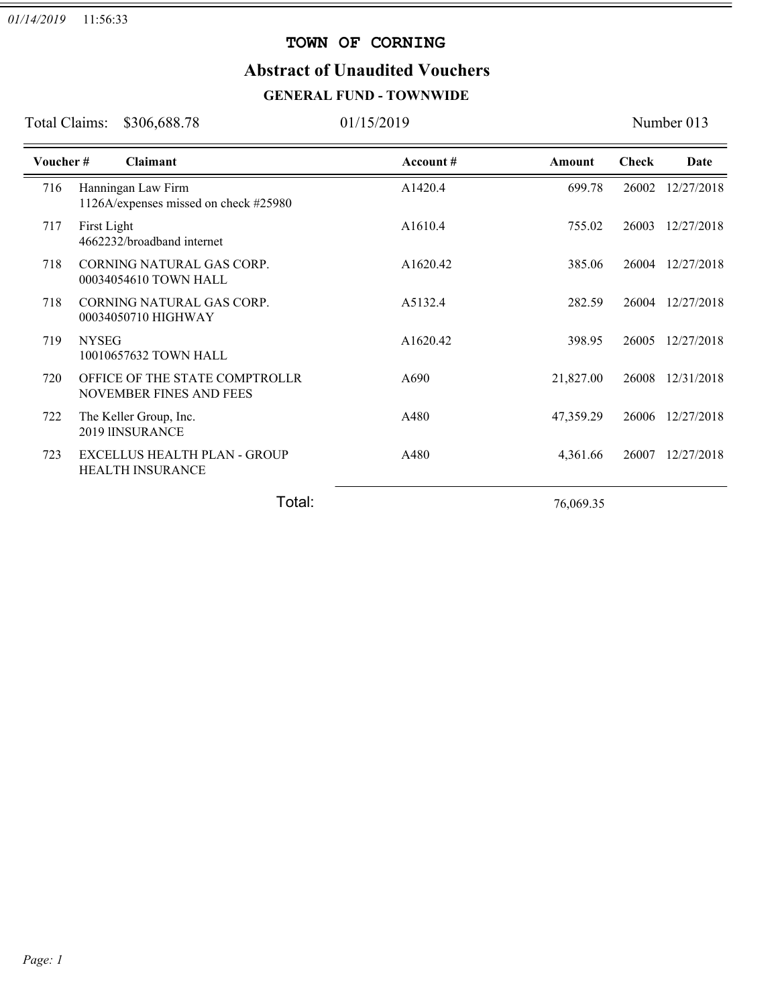#### **TOWN OF CORNING**

### **Abstract of Unaudited Vouchers**

### **GENERAL FUND - TOWNWIDE**

Total Claims: \$306,688.78 01/15/2019 Number 013

=

| Voucher# | <b>Claimant</b>                                                  | Account # | Amount    | <b>Check</b> | Date       |
|----------|------------------------------------------------------------------|-----------|-----------|--------------|------------|
| 716      | Hanningan Law Firm<br>1126A/expenses missed on check #25980      | A1420.4   | 699.78    | 26002        | 12/27/2018 |
| 717      | First Light<br>4662232/broadband internet                        | A1610.4   | 755.02    | 26003        | 12/27/2018 |
| 718      | CORNING NATURAL GAS CORP.<br>00034054610 TOWN HALL               | A1620.42  | 385.06    | 26004        | 12/27/2018 |
| 718      | CORNING NATURAL GAS CORP.<br>00034050710 HIGHWAY                 | A5132.4   | 282.59    | 26004        | 12/27/2018 |
| 719      | <b>NYSEG</b><br>10010657632 TOWN HALL                            | A1620.42  | 398.95    | 26005        | 12/27/2018 |
| 720      | OFFICE OF THE STATE COMPTROLLR<br><b>NOVEMBER FINES AND FEES</b> | A690      | 21,827.00 | 26008        | 12/31/2018 |
| 722      | The Keller Group, Inc.<br>2019 IINSURANCE                        | A480      | 47,359.29 | 26006        | 12/27/2018 |
| 723      | EXCELLUS HEALTH PLAN - GROUP<br><b>HEALTH INSURANCE</b>          | A480      | 4,361.66  | 26007        | 12/27/2018 |
|          | Total:                                                           |           | 76,069.35 |              |            |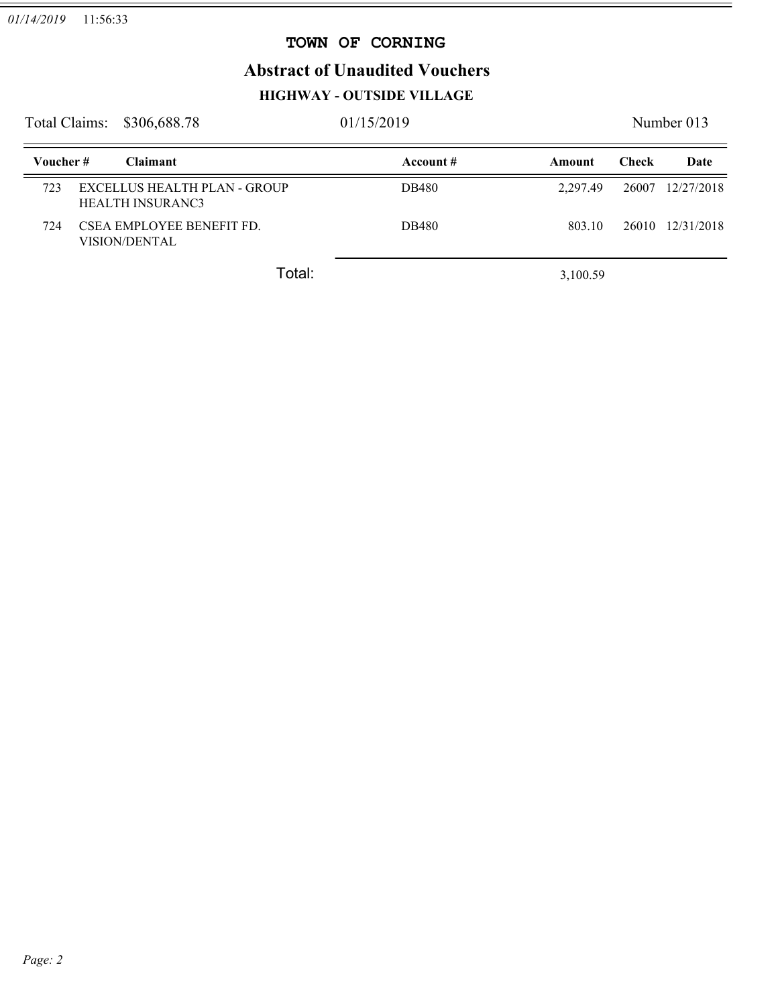### **TOWN OF CORNING**

 $=$ 

# **Abstract of Unaudited Vouchers**

# **HIGHWAY - OUTSIDE VILLAGE**

| Total Claims:<br>\$306,688.78 |  |                                                         | 01/15/2019 |               |              | Number 013       |  |  |
|-------------------------------|--|---------------------------------------------------------|------------|---------------|--------------|------------------|--|--|
| Voucher#                      |  | <b>Claimant</b>                                         | Account #  | <b>Amount</b> | <b>Check</b> | Date             |  |  |
| 723                           |  | EXCELLUS HEALTH PLAN - GROUP<br><b>HEALTH INSURANC3</b> | DB480      | 2.297.49      | 26007        | 12/27/2018       |  |  |
| 724                           |  | CSEA EMPLOYEE BENEFIT FD.<br><b>VISION/DENTAL</b>       | DB480      | 803.10        |              | 26010 12/31/2018 |  |  |
|                               |  | Total:                                                  |            | 3,100.59      |              |                  |  |  |

*Page: 2*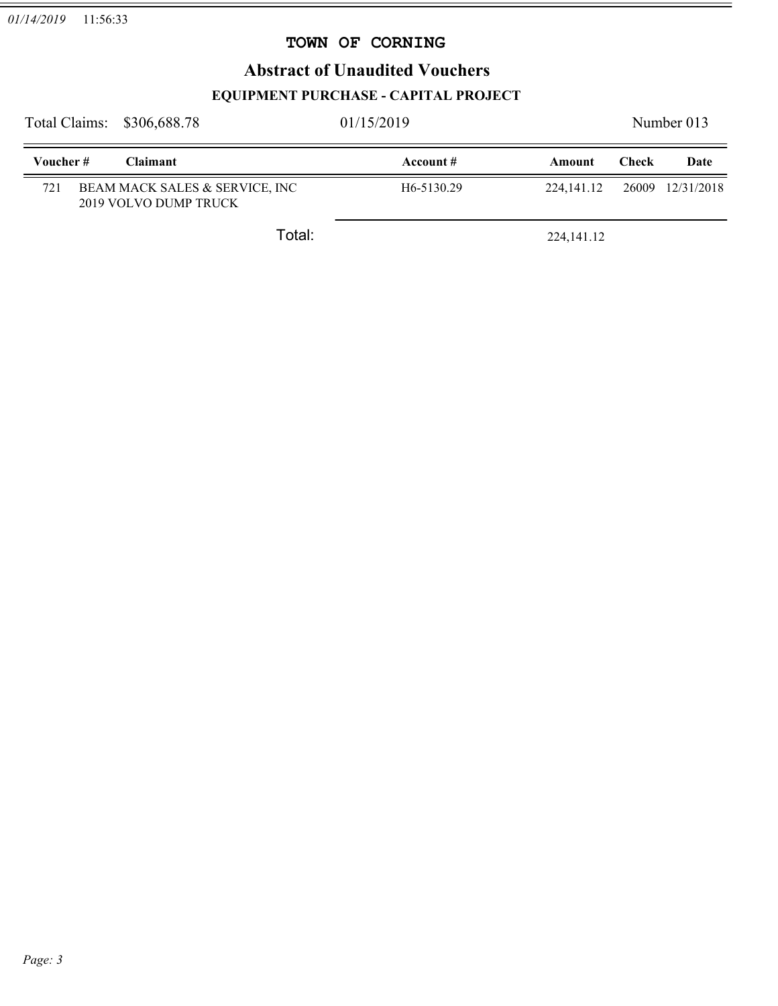### **TOWN OF CORNING**

### **Abstract of Unaudited Vouchers**

### **EQUIPMENT PURCHASE - CAPITAL PROJECT**

|           | Total Claims: \$306,688.78                              | 01/15/2019              |              | Number 013   |                  |
|-----------|---------------------------------------------------------|-------------------------|--------------|--------------|------------------|
| Voucher # | <b>Claimant</b>                                         | Account #               | Amount       | <b>Check</b> | Date             |
| 721       | BEAM MACK SALES & SERVICE, INC<br>2019 VOLVO DUMP TRUCK | H <sub>6</sub> -5130.29 | 224, 141, 12 |              | 26009 12/31/2018 |
|           | Total:                                                  |                         | 224, 141. 12 |              |                  |

 $=$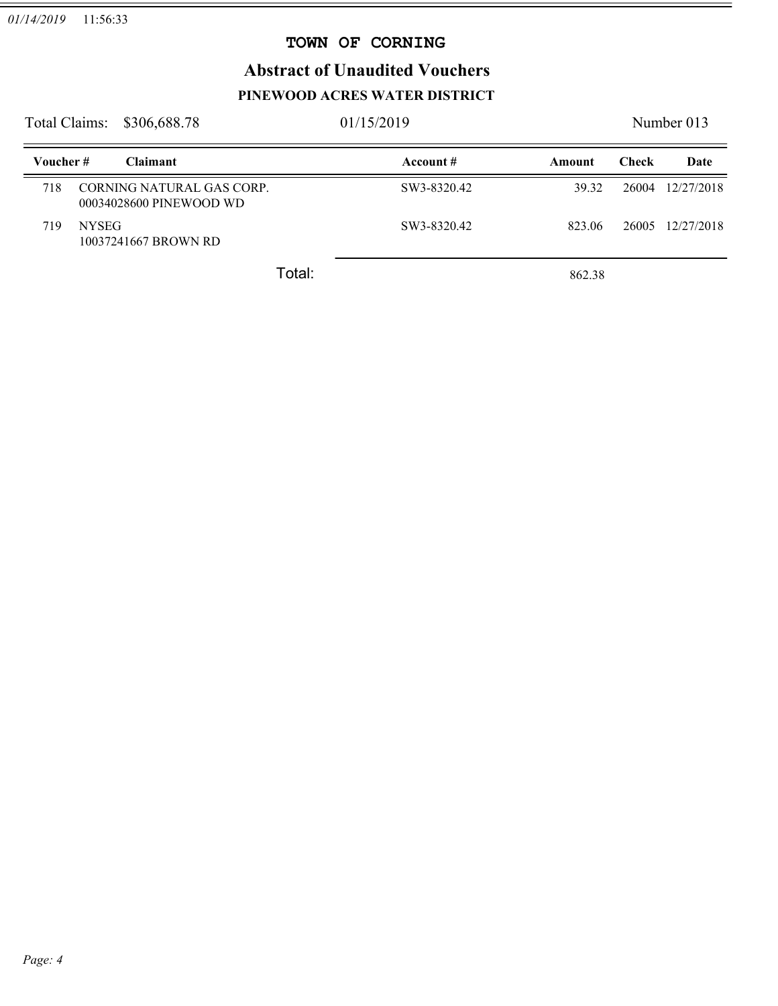### **TOWN OF CORNING**

 $=$ 

# **Abstract of Unaudited Vouchers PINEWOOD ACRES WATER DISTRICT**

| Total Claims: |              | \$306,688.78                                         | 01/15/2019  |        |       | Number 013 |  |
|---------------|--------------|------------------------------------------------------|-------------|--------|-------|------------|--|
| Voucher#      |              | <b>Claimant</b>                                      | Account #   | Amount | Check | Date       |  |
| 718           |              | CORNING NATURAL GAS CORP.<br>00034028600 PINEWOOD WD | SW3-8320.42 | 39.32  | 26004 | 12/27/2018 |  |
| 719           | <b>NYSEG</b> | 10037241667 BROWN RD                                 | SW3-8320.42 | 823.06 | 26005 | 12/27/2018 |  |
|               |              | Total:                                               |             | 862.38 |       |            |  |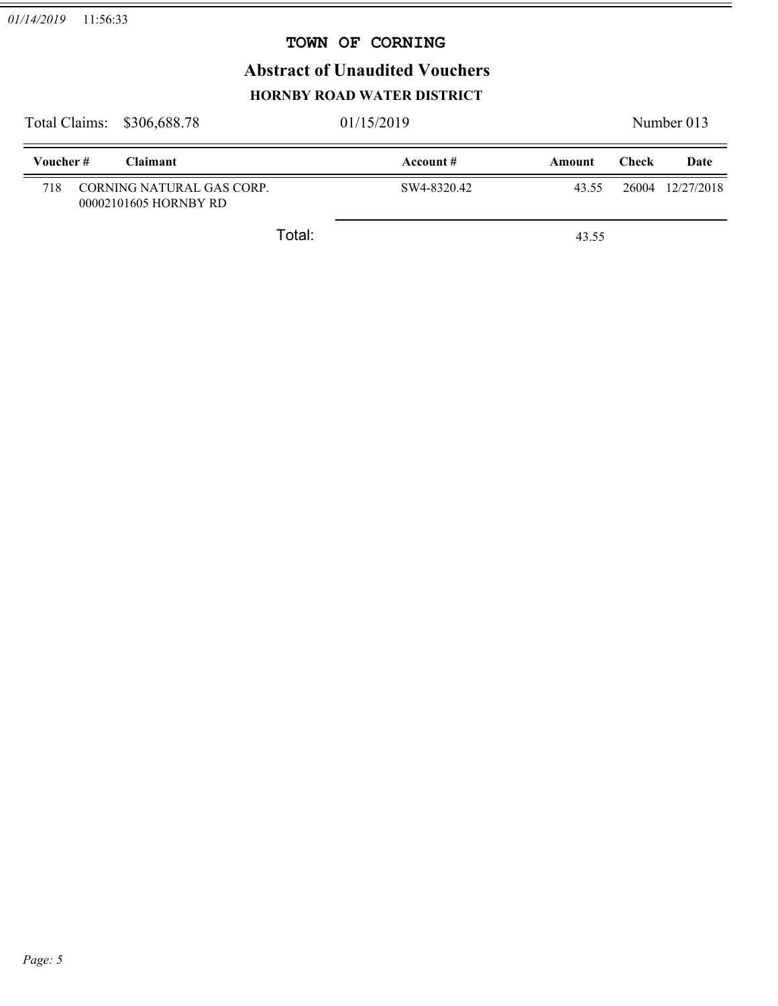### **TOWN OF CORNING**

## **Abstract of Unaudited Vouchers HORNBY ROAD WATER DISTRICT**

|           | Total Claims: \$306,688.78                         | 01/15/2019  |        | Number 013 |            |
|-----------|----------------------------------------------------|-------------|--------|------------|------------|
| Voucher # | <b>Claimant</b>                                    | Account $#$ | Amount | Check      | Date       |
| 718       | CORNING NATURAL GAS CORP.<br>00002101605 HORNBY RD | SW4-8320.42 | 43.55  | 26004      | 12/27/2018 |
|           | Total:                                             |             | 43.55  |            |            |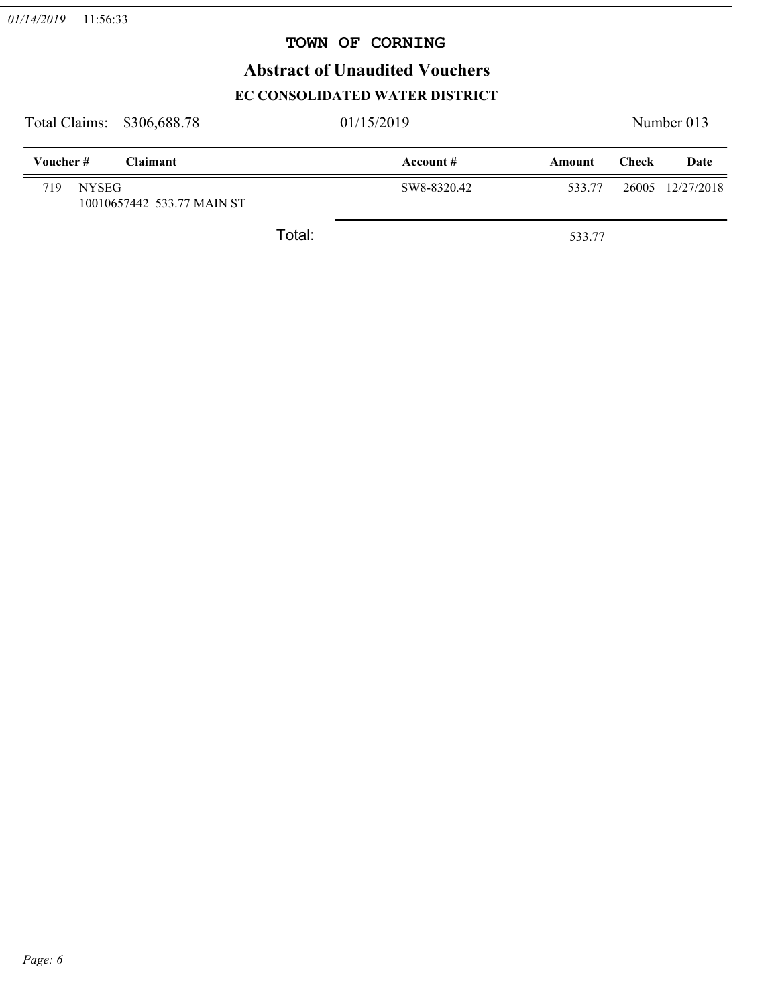### **TOWN OF CORNING**

# **Abstract of Unaudited Vouchers**

### **EC CONSOLIDATED WATER DISTRICT**

| Total Claims: \$306,688.78 |                            |        | 01/15/2019  |        | Number 013   |                  |
|----------------------------|----------------------------|--------|-------------|--------|--------------|------------------|
| Voucher#                   | <b>Claimant</b>            |        | Account $#$ | Amount | <b>Check</b> | Date             |
| 719<br><b>NYSEG</b>        | 10010657442 533.77 MAIN ST |        | SW8-8320.42 | 533.77 |              | 26005 12/27/2018 |
|                            |                            | Total: |             | 533.77 |              |                  |